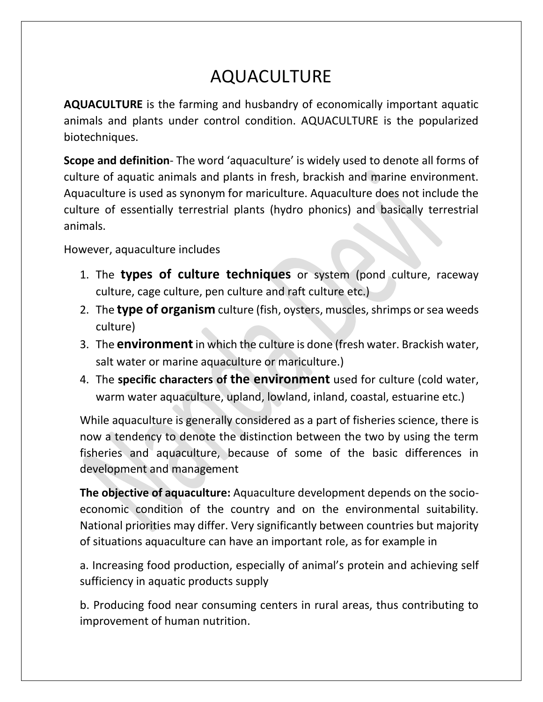## AQUACULTURE

**AQUACULTURE** is the farming and husbandry of economically important aquatic animals and plants under control condition. AQUACULTURE is the popularized biotechniques.

**Scope and definition**- The word 'aquaculture' is widely used to denote all forms of culture of aquatic animals and plants in fresh, brackish and marine environment. Aquaculture is used as synonym for mariculture. Aquaculture does not include the culture of essentially terrestrial plants (hydro phonics) and basically terrestrial animals.

However, aquaculture includes

- 1. The **types of culture techniques** or system (pond culture, raceway culture, cage culture, pen culture and raft culture etc.)
- 2. The **type of organism** culture (fish, oysters, muscles, shrimps or sea weeds culture)
- 3. The **environment**in which the culture is done (fresh water. Brackish water, salt water or marine aquaculture or mariculture.)
- 4. The **specific characters of the environment** used for culture (cold water, warm water aquaculture, upland, lowland, inland, coastal, estuarine etc.)

While aquaculture is generally considered as a part of fisheries science, there is now a tendency to denote the distinction between the two by using the term fisheries and aquaculture, because of some of the basic differences in development and management

**The objective of aquaculture:** Aquaculture development depends on the socioeconomic condition of the country and on the environmental suitability. National priorities may differ. Very significantly between countries but majority of situations aquaculture can have an important role, as for example in

a. Increasing food production, especially of animal's protein and achieving self sufficiency in aquatic products supply

b. Producing food near consuming centers in rural areas, thus contributing to improvement of human nutrition.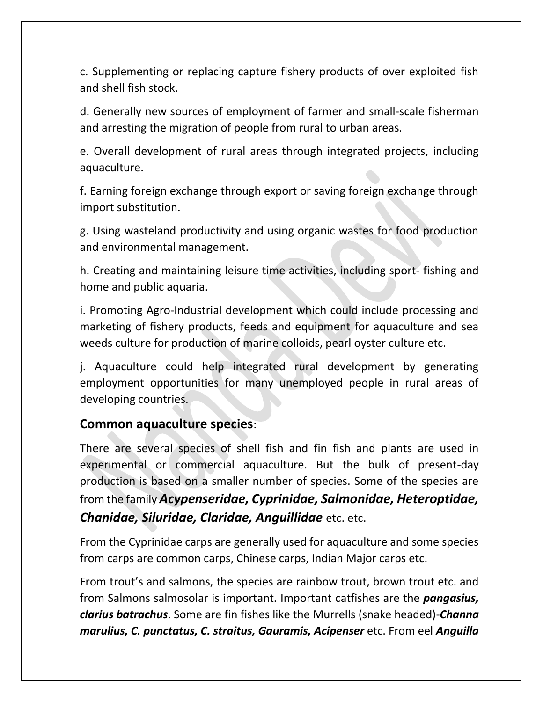c. Supplementing or replacing capture fishery products of over exploited fish and shell fish stock.

d. Generally new sources of employment of farmer and small-scale fisherman and arresting the migration of people from rural to urban areas.

e. Overall development of rural areas through integrated projects, including aquaculture.

f. Earning foreign exchange through export or saving foreign exchange through import substitution.

g. Using wasteland productivity and using organic wastes for food production and environmental management.

h. Creating and maintaining leisure time activities, including sport- fishing and home and public aquaria.

i. Promoting Agro-Industrial development which could include processing and marketing of fishery products, feeds and equipment for aquaculture and sea weeds culture for production of marine colloids, pearl oyster culture etc.

j. Aquaculture could help integrated rural development by generating employment opportunities for many unemployed people in rural areas of developing countries.

## **Common aquaculture species**:

There are several species of shell fish and fin fish and plants are used in experimental or commercial aquaculture. But the bulk of present-day production is based on a smaller number of species. Some of the species are from the family *Acypenseridae, Cyprinidae, Salmonidae, Heteroptidae, Chanidae, Siluridae, Claridae, Anguillidae* etc. etc.

From the Cyprinidae carps are generally used for aquaculture and some species from carps are common carps, Chinese carps, Indian Major carps etc.

From trout's and salmons, the species are rainbow trout, brown trout etc. and from Salmons salmosolar is important. Important catfishes are the *pangasius, clarius batrachus*. Some are fin fishes like the Murrells (snake headed)-*Channa marulius, C. punctatus, C. straitus, Gauramis, Acipenser* etc. From eel *Anguilla*